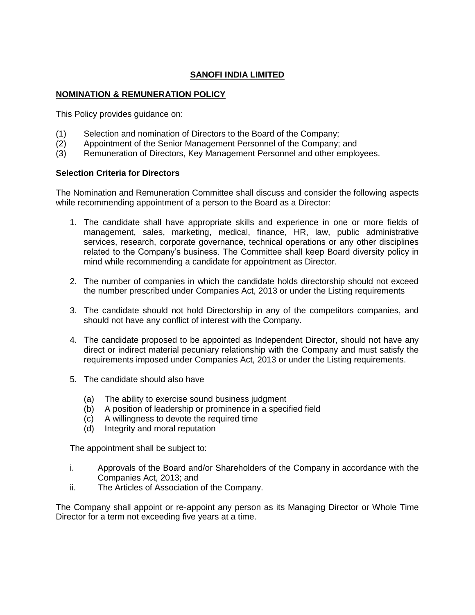# **SANOFI INDIA LIMITED**

## **NOMINATION & REMUNERATION POLICY**

This Policy provides guidance on:

- (1) Selection and nomination of Directors to the Board of the Company;
- (2) Appointment of the Senior Management Personnel of the Company; and
- (3) Remuneration of Directors, Key Management Personnel and other employees.

### **Selection Criteria for Directors**

The Nomination and Remuneration Committee shall discuss and consider the following aspects while recommending appointment of a person to the Board as a Director:

- 1. The candidate shall have appropriate skills and experience in one or more fields of management, sales, marketing, medical, finance, HR, law, public administrative services, research, corporate governance, technical operations or any other disciplines related to the Company's business. The Committee shall keep Board diversity policy in mind while recommending a candidate for appointment as Director.
- 2. The number of companies in which the candidate holds directorship should not exceed the number prescribed under Companies Act, 2013 or under the Listing requirements
- 3. The candidate should not hold Directorship in any of the competitors companies, and should not have any conflict of interest with the Company.
- 4. The candidate proposed to be appointed as Independent Director, should not have any direct or indirect material pecuniary relationship with the Company and must satisfy the requirements imposed under Companies Act, 2013 or under the Listing requirements.
- 5. The candidate should also have
	- (a) The ability to exercise sound business judgment
	- (b) A position of leadership or prominence in a specified field
	- (c) A willingness to devote the required time
	- (d) Integrity and moral reputation

The appointment shall be subject to:

- i. Approvals of the Board and/or Shareholders of the Company in accordance with the Companies Act, 2013; and
- ii. The Articles of Association of the Company.

The Company shall appoint or re-appoint any person as its Managing Director or Whole Time Director for a term not exceeding five years at a time.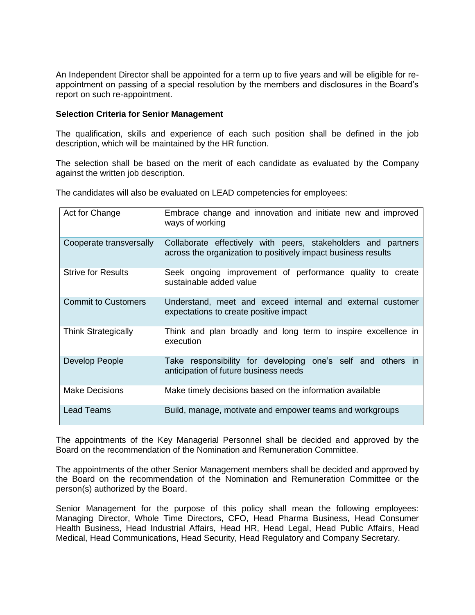An Independent Director shall be appointed for a term up to five years and will be eligible for reappointment on passing of a special resolution by the members and disclosures in the Board's report on such re-appointment.

### **Selection Criteria for Senior Management**

The qualification, skills and experience of each such position shall be defined in the job description, which will be maintained by the HR function.

The selection shall be based on the merit of each candidate as evaluated by the Company against the written job description.

The candidates will also be evaluated on LEAD competencies for employees:

| Act for Change             | Embrace change and innovation and initiate new and improved<br>ways of working                                                 |
|----------------------------|--------------------------------------------------------------------------------------------------------------------------------|
| Cooperate transversally    | Collaborate effectively with peers, stakeholders and partners<br>across the organization to positively impact business results |
| <b>Strive for Results</b>  | Seek ongoing improvement of performance quality to create<br>sustainable added value                                           |
| <b>Commit to Customers</b> | Understand, meet and exceed internal and external customer<br>expectations to create positive impact                           |
| <b>Think Strategically</b> | Think and plan broadly and long term to inspire excellence in<br>execution                                                     |
| Develop People             | Take responsibility for developing one's self and others in<br>anticipation of future business needs                           |
| <b>Make Decisions</b>      | Make timely decisions based on the information available                                                                       |
| Lead Teams                 | Build, manage, motivate and empower teams and workgroups                                                                       |

The appointments of the Key Managerial Personnel shall be decided and approved by the Board on the recommendation of the Nomination and Remuneration Committee.

The appointments of the other Senior Management members shall be decided and approved by the Board on the recommendation of the Nomination and Remuneration Committee or the person(s) authorized by the Board.

Senior Management for the purpose of this policy shall mean the following employees: Managing Director, Whole Time Directors, CFO, Head Pharma Business, Head Consumer Health Business, Head Industrial Affairs, Head HR, Head Legal, Head Public Affairs, Head Medical, Head Communications, Head Security, Head Regulatory and Company Secretary.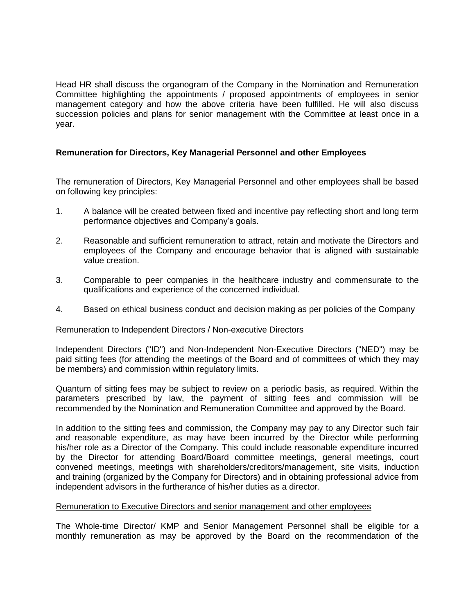Head HR shall discuss the organogram of the Company in the Nomination and Remuneration Committee highlighting the appointments / proposed appointments of employees in senior management category and how the above criteria have been fulfilled. He will also discuss succession policies and plans for senior management with the Committee at least once in a year.

### **Remuneration for Directors, Key Managerial Personnel and other Employees**

The remuneration of Directors, Key Managerial Personnel and other employees shall be based on following key principles:

- 1. A balance will be created between fixed and incentive pay reflecting short and long term performance objectives and Company's goals.
- 2. Reasonable and sufficient remuneration to attract, retain and motivate the Directors and employees of the Company and encourage behavior that is aligned with sustainable value creation.
- 3. Comparable to peer companies in the healthcare industry and commensurate to the qualifications and experience of the concerned individual.
- 4. Based on ethical business conduct and decision making as per policies of the Company

### Remuneration to Independent Directors / Non-executive Directors

Independent Directors ("ID") and Non-Independent Non-Executive Directors ("NED") may be paid sitting fees (for attending the meetings of the Board and of committees of which they may be members) and commission within regulatory limits.

Quantum of sitting fees may be subject to review on a periodic basis, as required. Within the parameters prescribed by law, the payment of sitting fees and commission will be recommended by the Nomination and Remuneration Committee and approved by the Board.

In addition to the sitting fees and commission, the Company may pay to any Director such fair and reasonable expenditure, as may have been incurred by the Director while performing his/her role as a Director of the Company. This could include reasonable expenditure incurred by the Director for attending Board/Board committee meetings, general meetings, court convened meetings, meetings with shareholders/creditors/management, site visits, induction and training (organized by the Company for Directors) and in obtaining professional advice from independent advisors in the furtherance of his/her duties as a director.

#### Remuneration to Executive Directors and senior management and other employees

The Whole-time Director/ KMP and Senior Management Personnel shall be eligible for a monthly remuneration as may be approved by the Board on the recommendation of the